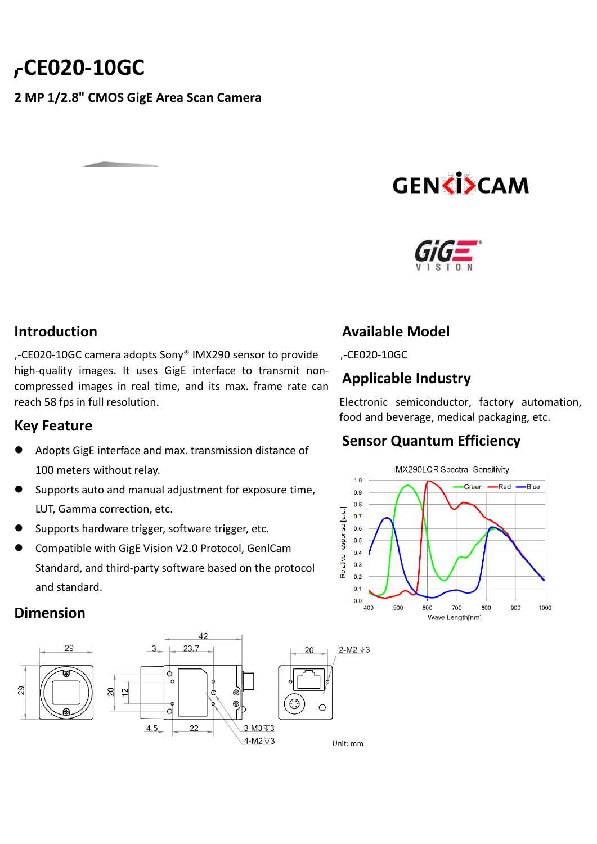## **-CE020-10GC**

### **2 MP 1/2.8" CMOS GigE Area Scan Camera**

# **GENCISCAM**



### **Introduction**

**,**-CE020-10GC camera adopts Sony® IMX290 sensor to provide high-quality images. It uses GigE interface to transmit noncompressed images in real time, and its max. frame rate can reach 58 fps in full resolution.

### **Key Feature**

- Adopts GigE interface and max. transmission distance of 100 meters without relay.
- Supports auto and manual adjustment for exposure time, LUT, Gamma correction, etc.
- Supports hardware trigger, software trigger, etc.
- Compatible with GigE Vision V2.0 Protocol, GenlCam Standard, and third-party software based on the protocol and standard.

**Dimension**



### **Available Model**

**,**-CE020-10GC

### **Applicable Industry**

Electronic semiconductor, factory automation, food and beverage, medical packaging, etc.

### **Sensor Quantum Efficiency**